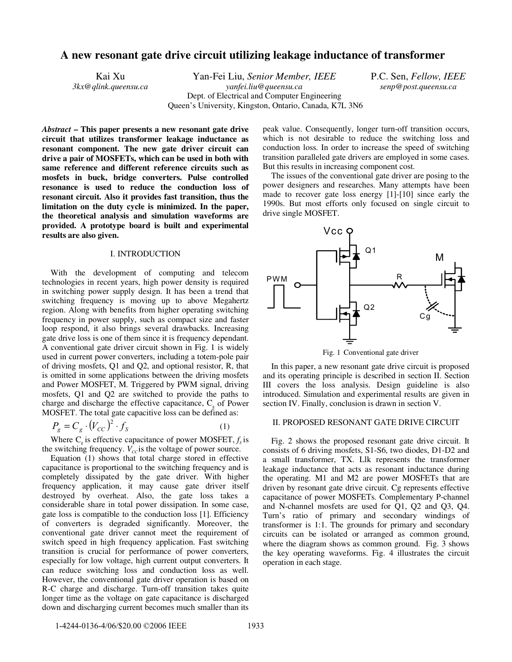# **A new resonant gate drive circuit utilizing leakage inductance of transformer**

Kai Xu Yan-Fei Liu, *Senior Member, IEEE* P.C. Sen, *Fellow, IEEE*<br>*3kx*@qlink.queensu.ca *yanfei.liu@queensu.ca senp@post.queensu.ca* Dept. of Electrical and Computer Engineering Queen's University, Kingston, Ontario, Canada, K7L 3N6

*3kx@qlink.queensu.ca yanfei.liu@queensu.ca senp@post.queensu.ca*

*Abstract* **– This paper presents a new resonant gate drive circuit that utilizes transformer leakage inductance as resonant component. The new gate driver circuit can drive a pair of MOSFETs, which can be used in both with same reference and different reference circuits such as mosfets in buck, bridge converters. Pulse controlled resonance is used to reduce the conduction loss of resonant circuit. Also it provides fast transition, thus the limitation on the duty cycle is minimized. In the paper, the theoretical analysis and simulation waveforms are provided. A prototype board is built and experimental results are also given.**

## I. INTRODUCTION

With the development of computing and telecom technologies in recent years, high power density is required in switching power supply design. It has been a trend that switching frequency is moving up to above Megahertz region. Along with benefits from higher operating switching frequency in power supply, such as compact size and faster loop respond, it also brings several drawbacks. Increasing gate drive loss is one of them since it is frequency dependant. A conventional gate driver circuit shown in Fig. 1 is widely used in current power converters, including a totem-pole pair of driving mosfets, Q1 and Q2, and optional resistor, R, that is omitted in some applications between the driving mosfets and Power MOSFET, M. Triggered by PWM signal, driving mosfets, Q1 and Q2 are switched to provide the paths to charge and discharge the effective capacitance,  $C_{g}$  of Power MOSFET. The total gate capacitive loss can be defined as:

$$
P_g = C_g \cdot (V_{CC})^2 \cdot f_S \tag{1}
$$

Where  $C_s$  is effective capacitance of power MOSFET,  $f_s$  is the switching frequency.  $V_{cc}$  is the voltage of power source.

Equation (1) shows that total charge stored in effective capacitance is proportional to the switching frequency and is completely dissipated by the gate driver. With higher frequency application, it may cause gate driver itself destroyed by overheat. Also, the gate loss takes a considerable share in total power dissipation. In some case, gate loss is compatible to the conduction loss [1]. Efficiency of converters is degraded significantly. Moreover, the conventional gate driver cannot meet the requirement of switch speed in high frequency application. Fast switching transition is crucial for performance of power converters, especially for low voltage, high current output converters. It can reduce switching loss and conduction loss as well. However, the conventional gate driver operation is based on R-C charge and discharge. Turn-off transition takes quite longer time as the voltage on gate capacitance is discharged down and discharging current becomes much smaller than its

peak value. Consequently, longer turn-off transition occurs, which is not desirable to reduce the switching loss and conduction loss. In order to increase the speed of switching transition paralleled gate drivers are employed in some cases. But this results in increasing component cost.

The issues of the conventional gate driver are posing to the power designers and researches. Many attempts have been made to recover gate loss energy [1]-[10] since early the 1990s. But most efforts only focused on single circuit to drive single MOSFET.



Fig. 1 Conventional gate driver

In this paper, a new resonant gate drive circuit is proposed and its operating principle is described in section II. Section III covers the loss analysis. Design guideline is also introduced. Simulation and experimental results are given in section IV. Finally, conclusion is drawn in section V.

## II. PROPOSED RESONANT GATE DRIVE CIRCUIT

Fig. 2 shows the proposed resonant gate drive circuit. It consists of 6 driving mosfets, S1-S6, two diodes, D1-D2 and a small transformer, TX. Llk represents the transformer leakage inductance that acts as resonant inductance during the operating. M1 and M2 are power MOSFETs that are driven by resonant gate drive circuit. Cg represents effective capacitance of power MOSFETs. Complementary P-channel and N-channel mosfets are used for Q1, Q2 and Q3, Q4. Turn's ratio of primary and secondary windings of transformer is 1:1. The grounds for primary and secondary circuits can be isolated or arranged as common ground, where the diagram shows as common ground. Fig. 3 shows the key operating waveforms. Fig. 4 illustrates the circuit operation in each stage.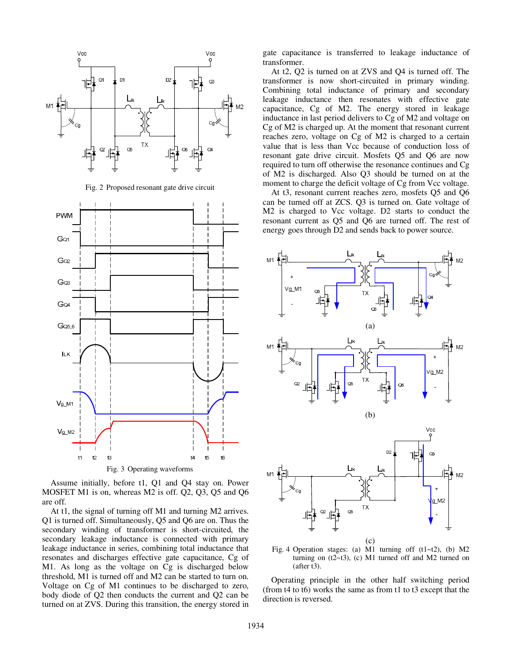

Fig. 2 Proposed resonant gate drive circuit



Assume initially, before t1, Q1 and Q4 stay on. Power MOSFET M1 is on, whereas M2 is off. Q2, Q3, Q5 and Q6 are off.

At t1, the signal of turning off M1 and turning M2 arrives. Q1 is turned off. Simultaneously, Q5 and Q6 are on. Thus the secondary winding of transformer is short-circuited, the secondary leakage inductance is connected with primary leakage inductance in series, combining total inductance that resonates and discharges effective gate capacitance, Cg of M1. As long as the voltage on Cg is discharged below threshold, M1 is turned off and M2 can be started to turn on. Voltage on Cg of M1 continues to be discharged to zero, body diode of Q2 then conducts the current and Q2 can be turned on at ZVS. During this transition, the energy stored in gate capacitance is transferred to leakage inductance of transformer.

At t2, Q2 is turned on at ZVS and Q4 is turned off. The transformer is now short-circuited in primary winding. Combining total inductance of primary and secondary leakage inductance then resonates with effective gate capacitance, Cg of M2. The energy stored in leakage inductance in last period delivers to Cg of M2 and voltage on Cg of M2 is charged up. At the moment that resonant current reaches zero, voltage on Cg of M2 is charged to a certain value that is less than Vcc because of conduction loss of resonant gate drive circuit. Mosfets Q5 and Q6 are now required to turn off otherwise the resonance continues and Cg of M2 is discharged. Also Q3 should be turned on at the moment to charge the deficit voltage of Cg from Vcc voltage.

At t3, resonant current reaches zero, mosfets Q5 and Q6 can be turned off at ZCS. Q3 is turned on. Gate voltage of M2 is charged to Vcc voltage. D2 starts to conduct the resonant current as Q5 and Q6 are turned off. The rest of energy goes through D2 and sends back to power source.



Fig. 4 Operation stages: (a) M1 turning off  $(t1-t2)$ , (b) M2 turning on  $(t2~t3)$ , (c) M1 turned off and M2 turned on (after t3).

Operating principle in the other half switching period (from t4 to t6) works the same as from t1 to t3 except that the direction is reversed.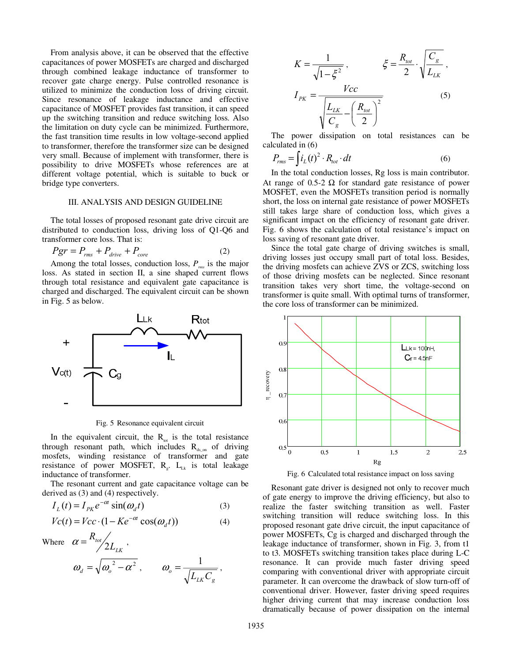From analysis above, it can be observed that the effective capacitances of power MOSFETs are charged and discharged through combined leakage inductance of transformer to recover gate charge energy. Pulse controlled resonance is utilized to minimize the conduction loss of driving circuit. Since resonance of leakage inductance and effective capacitance of MOSFET provides fast transition, it can speed up the switching transition and reduce switching loss. Also the limitation on duty cycle can be minimized. Furthermore, the fast transition time results in low voltage-second applied to transformer, therefore the transformer size can be designed very small. Because of implement with transformer, there is possibility to drive MOSFETs whose references are at different voltage potential, which is suitable to buck or bridge type converters.

### III. ANALYSIS AND DESIGN GUIDELINE

The total losses of proposed resonant gate drive circuit are distributed to conduction loss, driving loss of Q1-Q6 and transformer core loss. That is:

$$
Pgr = P_{rms} + P_{drive} + P_{core}
$$
 (2)

Among the total losses, conduction loss,  $P_{\text{rms}}$  is the major loss. As stated in section II, a sine shaped current flows through total resistance and equivalent gate capacitance is charged and discharged. The equivalent circuit can be shown in Fig. 5 as below.



Fig. 5 Resonance equivalent circuit

In the equivalent circuit, the  $R_{tot}$  is the total resistance through resonant path, which includes  $R_{ds}$  of driving mosfets, winding resistance of transformer and gate resistance of power MOSFET,  $R_e$ .  $L_{Lk}$  is total leakage inductance of transformer.

The resonant current and gate capacitance voltage can be derived as (3) and (4) respectively.

$$
I_L(t) = I_{PK} e^{-\alpha t} \sin(\omega_d t)
$$
 (3)

$$
Vc(t) = Vcc \cdot (1 - Ke^{-\alpha t} \cos(\omega_d t))
$$
 (4)

Where  $\alpha = \frac{R_{tot}}{2L}$ 

$$
\alpha = \frac{R_{tot}}{\sqrt{2L_{LK}}},
$$
  
\n
$$
\omega_d = \sqrt{{\omega_o}^2 - {\alpha}^2},
$$
 
$$
\omega_o = \frac{1}{\sqrt{L_{LK}C_g}},
$$

$$
K = \frac{1}{\sqrt{1 - \xi^2}}, \qquad \xi = \frac{R_{tot}}{2} \cdot \sqrt{\frac{C_g}{L_{LK}}},
$$

$$
I_{PK} = \frac{Vcc}{\sqrt{\frac{L_{LK}}{C_g} - \left(\frac{R_{tot}}{2}\right)^2}} \tag{5}
$$

The power dissipation on total resistances can be calculated in (6)

$$
P_{rms} = \int i_L(t)^2 \cdot R_{tot} \cdot dt \tag{6}
$$

In the total conduction losses, Rg loss is main contributor. At range of 0.5-2  $\Omega$  for standard gate resistance of power MOSFET, even the MOSFETs transition period is normally short, the loss on internal gate resistance of power MOSFETs still takes large share of conduction loss, which gives a significant impact on the efficiency of resonant gate driver. Fig. 6 shows the calculation of total resistance's impact on loss saving of resonant gate driver.

Since the total gate charge of driving switches is small, driving losses just occupy small part of total loss. Besides, the driving mosfets can achieve ZVS or ZCS, switching loss of those driving mosfets can be neglected. Since resonant transition takes very short time, the voltage-second on transformer is quite small. With optimal turns of transformer, the core loss of transformer can be minimized.



Fig. 6 Calculated total resistance impact on loss saving

Resonant gate driver is designed not only to recover much of gate energy to improve the driving efficiency, but also to realize the faster switching transition as well. Faster switching transition will reduce switching loss. In this proposed resonant gate drive circuit, the input capacitance of power MOSFETs, Cg is charged and discharged through the leakage inductance of transformer, shown in Fig. 3, from t1 to t3. MOSFETs switching transition takes place during L-C resonance. It can provide much faster driving speed comparing with conventional driver with appropriate circuit parameter. It can overcome the drawback of slow turn-off of conventional driver. However, faster driving speed requires higher driving current that may increase conduction loss dramatically because of power dissipation on the internal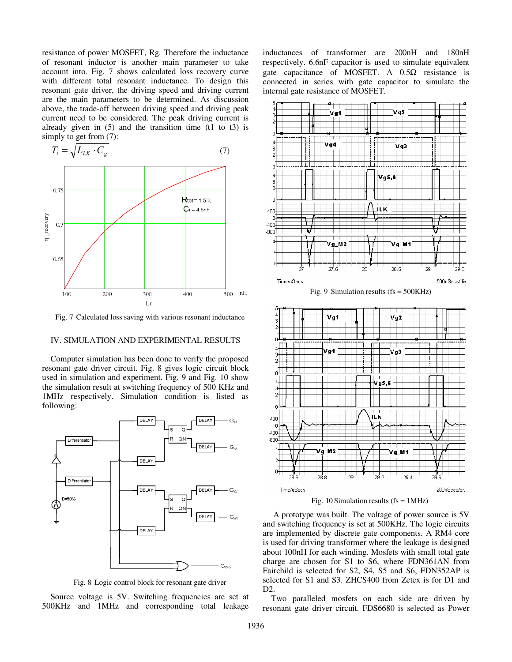resistance of power MOSFET, Rg. Therefore the inductance of resonant inductor is another main parameter to take account into. Fig. 7 shows calculated loss recovery curve with different total resonant inductance. To design this resonant gate driver, the driving speed and driving current are the main parameters to be determined. As discussion above, the trade-off between driving speed and driving peak current need to be considered. The peak driving current is already given in  $(5)$  and the transition time  $(11$  to  $t3)$  is simply to get from (7):



Fig. 7 Calculated loss saving with various resonant inductance

## IV. SIMULATION AND EXPERIMENTAL RESULTS

Computer simulation has been done to verify the proposed resonant gate driver circuit. Fig. 8 gives logic circuit block used in simulation and experiment. Fig. 9 and Fig. 10 show the simulation result at switching frequency of 500 KHz and 1MHz respectively. Simulation condition is listed as following:



Fig. 8 Logic control block for resonant gate driver

Source voltage is 5V. Switching frequencies are set at 500KHz and 1MHz and corresponding total leakage inductances of transformer are 200nH and 180nH respectively. 6.6nF capacitor is used to simulate equivalent gate capacitance of MOSFET. A  $0.5\Omega$  resistance is connected in series with gate capacitor to simulate the internal gate resistance of MOSFET.



Fig. 10 Simulation results ( $fs = 1MHz$ )

 A prototype was built. The voltage of power source is 5V and switching frequency is set at 500KHz. The logic circuits are implemented by discrete gate components. A RM4 core is used for driving transformer where the leakage is designed about 100nH for each winding. Mosfets with small total gate charge are chosen for S1 to S6, where FDN361AN from Fairchild is selected for S2, S4, S5 and S6, FDN352AP is selected for S1 and S3. ZHCS400 from Zetex is for D1 and D2.

Two paralleled mosfets on each side are driven by resonant gate driver circuit. FDS6680 is selected as Power